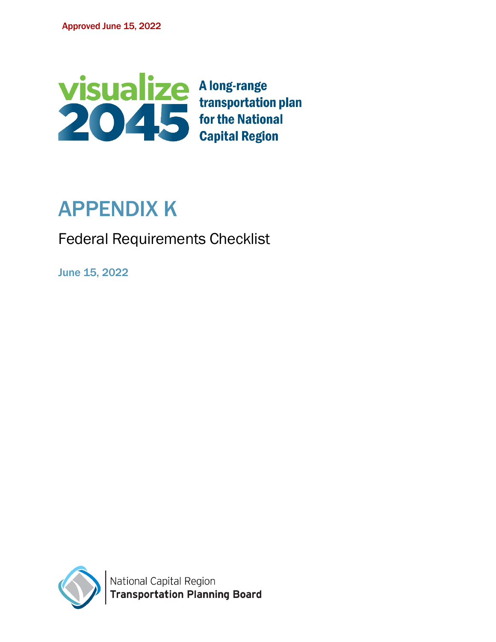

## APPENDIX K

Federal Requirements Checklist

June 15, 2022

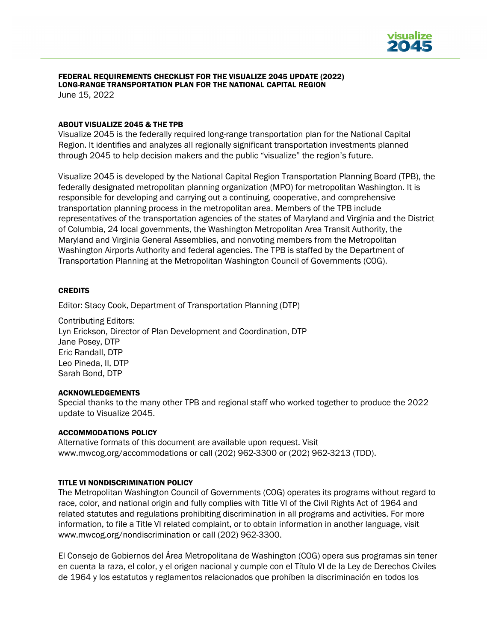

## FEDERAL REQUIREMENTS CHECKLIST FOR THE VISUALIZE 2045 UPDATE (2022) LONG-RANGE TRANSPORTATION PLAN FOR THE NATIONAL CAPITAL REGION

June 15, 2022

### ABOUT VISUALIZE 2045 & THE TPB

Visualize 2045 is the federally required long-range transportation plan for the National Capital Region. It identifies and analyzes all regionally significant transportation investments planned through 2045 to help decision makers and the public "visualize" the region's future.

Visualize 2045 is developed by the National Capital Region Transportation Planning Board (TPB), the federally designated metropolitan planning organization (MPO) for metropolitan Washington. It is responsible for developing and carrying out a continuing, cooperative, and comprehensive transportation planning process in the metropolitan area. Members of the TPB include representatives of the transportation agencies of the states of Maryland and Virginia and the District of Columbia, 24 local governments, the Washington Metropolitan Area Transit Authority, the Maryland and Virginia General Assemblies, and nonvoting members from the Metropolitan Washington Airports Authority and federal agencies. The TPB is staffed by the Department of Transportation Planning at the Metropolitan Washington Council of Governments (COG).

### **CREDITS**

Editor: Stacy Cook, Department of Transportation Planning (DTP)

Contributing Editors: Lyn Erickson, Director of Plan Development and Coordination, DTP Jane Posey, DTP Eric Randall, DTP Leo Pineda, II, DTP Sarah Bond, DTP

#### ACKNOWLEDGEMENTS

Special thanks to the many other TPB and regional staff who worked together to produce the 2022 update to Visualize 2045.

#### ACCOMMODATIONS POLICY

Alternative formats of this document are available upon request. Visit [www.mwcog.org/accommodations](http://www.mwcog.org/accommodations) or call (202) 962-3300 or (202) 962-3213 (TDD).

### TITLE VI NONDISCRIMINATION POLICY

The Metropolitan Washington Council of Governments (COG) operates its programs without regard to race, color, and national origin and fully complies with Title VI of the Civil Rights Act of 1964 and related statutes and regulations prohibiting discrimination in all programs and activities. For more information, to file a Title VI related complaint, or to obtain information in another language, visit www.mwcog.org/nondiscrimination or call (202) 962-3300.

El Consejo de Gobiernos del Área Metropolitana de Washington (COG) opera sus programas sin tener en cuenta la raza, el color, y el origen nacional y cumple con el Título VI de la Ley de Derechos Civiles de 1964 y los estatutos y reglamentos relacionados que prohíben la discriminación en todos los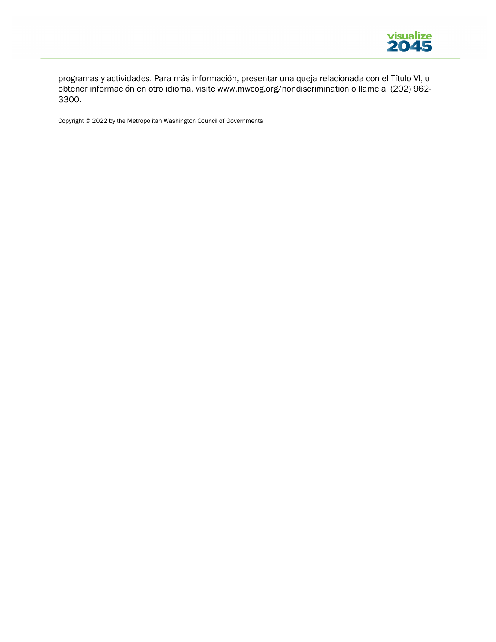

programas y actividades. Para más información, presentar una queja relacionada con el Título VI, u obtener información en otro idioma, visite www.mwcog.org/nondiscrimination o llame al (202) 962- 3300.

Copyright © 2022 by the Metropolitan Washington Council of Governments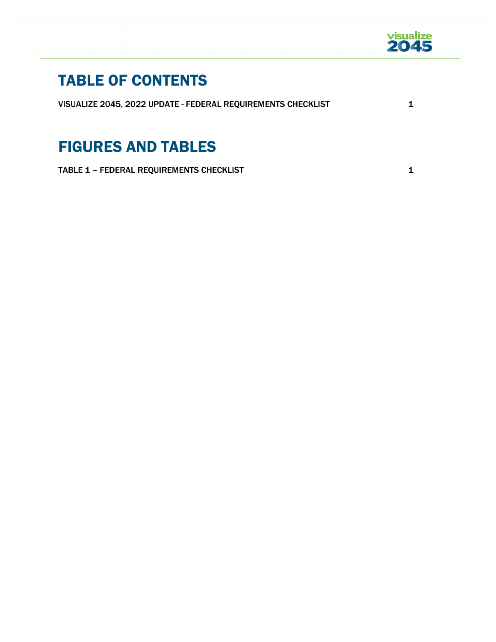

## TABLE OF CONTENTS

VISUALIZE 2045, 2022 UPDATE - FEDERAL REQUIREMENTS CHECKLIST 1

## FIGURES AND TABLES

TABLE 1 – FEDERAL REQUIREMENTS CHECKLIST 1 1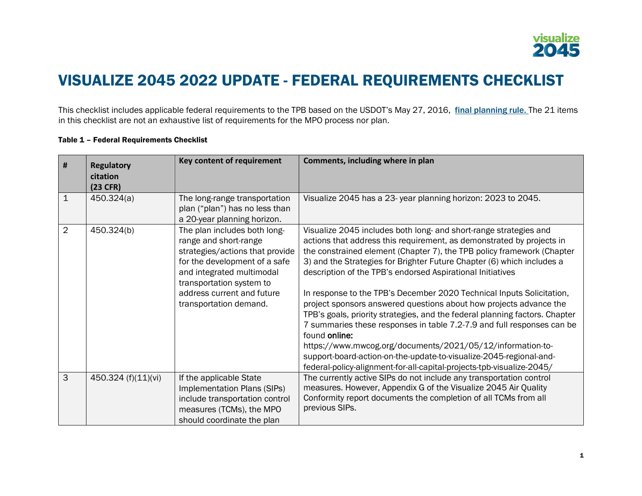

## VISUALIZE 2045 2022 UPDATE - FEDERAL REQUIREMENTS CHECKLIST

This checklist includes applicable federal requirements to the TPB based on the USDOT's May 27, 2016, [final planning rule.](https://www.gpo.gov/fdsys/pkg/FR-2016-05-27/pdf/2016-11964.pdf) The 21 items in this checklist are not an exhaustive list of requirements for the MPO process nor plan.

| #              | <b>Regulatory</b><br>citation<br>(23 CFR) | Key content of requirement                                                                                                                                                                                                                 | Comments, including where in plan                                                                                                                                                                                                                                                                                                                                                                                                                                                                                                                                                                                                                                                                                                                                                                                                                                                                  |
|----------------|-------------------------------------------|--------------------------------------------------------------------------------------------------------------------------------------------------------------------------------------------------------------------------------------------|----------------------------------------------------------------------------------------------------------------------------------------------------------------------------------------------------------------------------------------------------------------------------------------------------------------------------------------------------------------------------------------------------------------------------------------------------------------------------------------------------------------------------------------------------------------------------------------------------------------------------------------------------------------------------------------------------------------------------------------------------------------------------------------------------------------------------------------------------------------------------------------------------|
| $\mathbf 1$    | 450.324(a)                                | The long-range transportation<br>plan ("plan") has no less than<br>a 20-year planning horizon.                                                                                                                                             | Visualize 2045 has a 23-year planning horizon: 2023 to 2045.                                                                                                                                                                                                                                                                                                                                                                                                                                                                                                                                                                                                                                                                                                                                                                                                                                       |
| $\overline{2}$ | 450.324(b)                                | The plan includes both long-<br>range and short-range<br>strategies/actions that provide<br>for the development of a safe<br>and integrated multimodal<br>transportation system to<br>address current and future<br>transportation demand. | Visualize 2045 includes both long- and short-range strategies and<br>actions that address this requirement, as demonstrated by projects in<br>the constrained element (Chapter 7), the TPB policy framework (Chapter<br>3) and the Strategies for Brighter Future Chapter (6) which includes a<br>description of the TPB's endorsed Aspirational Initiatives<br>In response to the TPB's December 2020 Technical Inputs Solicitation,<br>project sponsors answered questions about how projects advance the<br>TPB's goals, priority strategies, and the federal planning factors. Chapter<br>7 summaries these responses in table 7.2-7.9 and full responses can be<br>found online:<br>https://www.mwcog.org/documents/2021/05/12/information-to-<br>support-board-action-on-the-update-to-visualize-2045-regional-and-<br>federal-policy-alignment-for-all-capital-projects-tpb-visualize-2045/ |
| 3              | 450.324 (f)(11)(vi)                       | If the applicable State<br>Implementation Plans (SIPs)<br>include transportation control<br>measures (TCMs), the MPO<br>should coordinate the plan                                                                                         | The currently active SIPs do not include any transportation control<br>measures. However, Appendix G of the Visualize 2045 Air Quality<br>Conformity report documents the completion of all TCMs from all<br>previous SIPs.                                                                                                                                                                                                                                                                                                                                                                                                                                                                                                                                                                                                                                                                        |

### Table 1 – Federal Requirements Checklist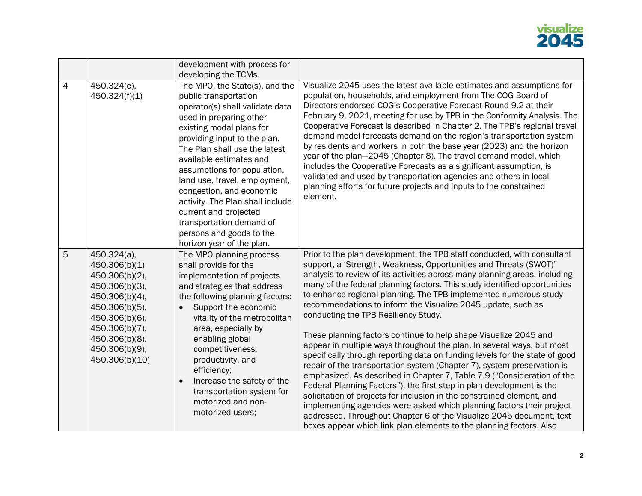

|                |                                                                                                                                                                                                | development with process for                                                                                                                                                                                                                                                                                                                                                                                                                                                                                        |                                                                                                                                                                                                                                                                                                                                                                                                                                                                                                                                                                                                                                                                                                                                                                                                                                                                                                                                                                                                                                                                                                                                                                                                                                                   |
|----------------|------------------------------------------------------------------------------------------------------------------------------------------------------------------------------------------------|---------------------------------------------------------------------------------------------------------------------------------------------------------------------------------------------------------------------------------------------------------------------------------------------------------------------------------------------------------------------------------------------------------------------------------------------------------------------------------------------------------------------|---------------------------------------------------------------------------------------------------------------------------------------------------------------------------------------------------------------------------------------------------------------------------------------------------------------------------------------------------------------------------------------------------------------------------------------------------------------------------------------------------------------------------------------------------------------------------------------------------------------------------------------------------------------------------------------------------------------------------------------------------------------------------------------------------------------------------------------------------------------------------------------------------------------------------------------------------------------------------------------------------------------------------------------------------------------------------------------------------------------------------------------------------------------------------------------------------------------------------------------------------|
| $\overline{4}$ | 450.324(e),<br>450.324(f)(1)                                                                                                                                                                   | developing the TCMs.<br>The MPO, the State(s), and the<br>public transportation<br>operator(s) shall validate data<br>used in preparing other<br>existing modal plans for<br>providing input to the plan.<br>The Plan shall use the latest<br>available estimates and<br>assumptions for population,<br>land use, travel, employment,<br>congestion, and economic<br>activity. The Plan shall include<br>current and projected<br>transportation demand of<br>persons and goods to the<br>horizon year of the plan. | Visualize 2045 uses the latest available estimates and assumptions for<br>population, households, and employment from The COG Board of<br>Directors endorsed COG's Cooperative Forecast Round 9.2 at their<br>February 9, 2021, meeting for use by TPB in the Conformity Analysis. The<br>Cooperative Forecast is described in Chapter 2. The TPB's regional travel<br>demand model forecasts demand on the region's transportation system<br>by residents and workers in both the base year (2023) and the horizon<br>year of the plan-2045 (Chapter 8). The travel demand model, which<br>includes the Cooperative Forecasts as a significant assumption, is<br>validated and used by transportation agencies and others in local<br>planning efforts for future projects and inputs to the constrained<br>element.                                                                                                                                                                                                                                                                                                                                                                                                                             |
| 5              | 450.324(a),<br>450.306(b)(1)<br>450.306(b)(2),<br>450.306(b)(3),<br>450.306(b)(4),<br>450.306(b)(5),<br>450.306(b)(6),<br>450.306(b)(7),<br>450.306(b)(8).<br>450.306(b)(9),<br>450.306(b)(10) | The MPO planning process<br>shall provide for the<br>implementation of projects<br>and strategies that address<br>the following planning factors:<br>Support the economic<br>$\bullet$<br>vitality of the metropolitan<br>area, especially by<br>enabling global<br>competitiveness,<br>productivity, and<br>efficiency;<br>Increase the safety of the<br>$\bullet$<br>transportation system for<br>motorized and non-<br>motorized users;                                                                          | Prior to the plan development, the TPB staff conducted, with consultant<br>support, a 'Strength, Weakness, Opportunities and Threats (SWOT)"<br>analysis to review of its activities across many planning areas, including<br>many of the federal planning factors. This study identified opportunities<br>to enhance regional planning. The TPB implemented numerous study<br>recommendations to inform the Visualize 2045 update, such as<br>conducting the TPB Resiliency Study.<br>These planning factors continue to help shape Visualize 2045 and<br>appear in multiple ways throughout the plan. In several ways, but most<br>specifically through reporting data on funding levels for the state of good<br>repair of the transportation system (Chapter 7), system preservation is<br>emphasized. As described in Chapter 7, Table 7.9 ("Consideration of the<br>Federal Planning Factors"), the first step in plan development is the<br>solicitation of projects for inclusion in the constrained element, and<br>implementing agencies were asked which planning factors their project<br>addressed. Throughout Chapter 6 of the Visualize 2045 document, text<br>boxes appear which link plan elements to the planning factors. Also |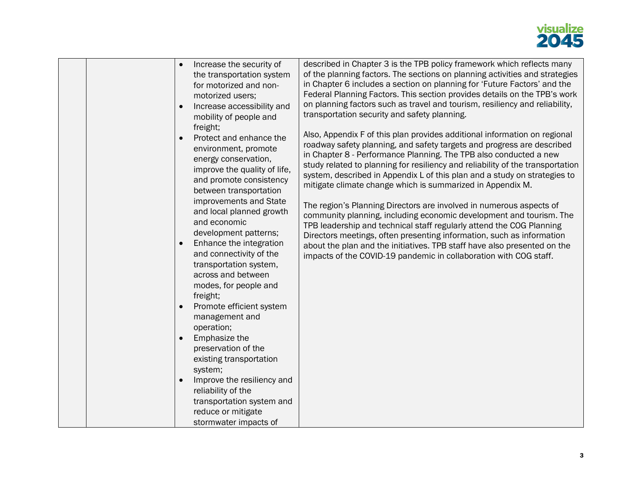

|  |  | Increase the security of<br>the transportation system<br>for motorized and non-<br>motorized users;<br>Increase accessibility and<br>mobility of people and<br>freight;<br>Protect and enhance the<br>environment, promote<br>energy conservation,<br>improve the quality of life,<br>and promote consistency<br>between transportation<br>improvements and State<br>and local planned growth<br>and economic<br>development patterns;<br>Enhance the integration<br>and connectivity of the<br>transportation system,<br>across and between<br>modes, for people and<br>freight;<br>Promote efficient system<br>management and<br>operation;<br>Emphasize the<br>$\bullet$<br>preservation of the<br>existing transportation<br>system;<br>Improve the resiliency and<br>reliability of the<br>transportation system and<br>reduce or mitigate<br>stormwater impacts of | described in Chapter 3 is the TPB policy framework which reflects many<br>of the planning factors. The sections on planning activities and strategies<br>in Chapter 6 includes a section on planning for 'Future Factors' and the<br>Federal Planning Factors. This section provides details on the TPB's work<br>on planning factors such as travel and tourism, resiliency and reliability,<br>transportation security and safety planning.<br>Also, Appendix F of this plan provides additional information on regional<br>roadway safety planning, and safety targets and progress are described<br>in Chapter 8 - Performance Planning. The TPB also conducted a new<br>study related to planning for resiliency and reliability of the transportation<br>system, described in Appendix L of this plan and a study on strategies to<br>mitigate climate change which is summarized in Appendix M.<br>The region's Planning Directors are involved in numerous aspects of<br>community planning, including economic development and tourism. The<br>TPB leadership and technical staff regularly attend the COG Planning<br>Directors meetings, often presenting information, such as information<br>about the plan and the initiatives. TPB staff have also presented on the<br>impacts of the COVID-19 pandemic in collaboration with COG staff. |
|--|--|--------------------------------------------------------------------------------------------------------------------------------------------------------------------------------------------------------------------------------------------------------------------------------------------------------------------------------------------------------------------------------------------------------------------------------------------------------------------------------------------------------------------------------------------------------------------------------------------------------------------------------------------------------------------------------------------------------------------------------------------------------------------------------------------------------------------------------------------------------------------------|--------------------------------------------------------------------------------------------------------------------------------------------------------------------------------------------------------------------------------------------------------------------------------------------------------------------------------------------------------------------------------------------------------------------------------------------------------------------------------------------------------------------------------------------------------------------------------------------------------------------------------------------------------------------------------------------------------------------------------------------------------------------------------------------------------------------------------------------------------------------------------------------------------------------------------------------------------------------------------------------------------------------------------------------------------------------------------------------------------------------------------------------------------------------------------------------------------------------------------------------------------------------------------------------------------------------------------------------------------|
|--|--|--------------------------------------------------------------------------------------------------------------------------------------------------------------------------------------------------------------------------------------------------------------------------------------------------------------------------------------------------------------------------------------------------------------------------------------------------------------------------------------------------------------------------------------------------------------------------------------------------------------------------------------------------------------------------------------------------------------------------------------------------------------------------------------------------------------------------------------------------------------------------|--------------------------------------------------------------------------------------------------------------------------------------------------------------------------------------------------------------------------------------------------------------------------------------------------------------------------------------------------------------------------------------------------------------------------------------------------------------------------------------------------------------------------------------------------------------------------------------------------------------------------------------------------------------------------------------------------------------------------------------------------------------------------------------------------------------------------------------------------------------------------------------------------------------------------------------------------------------------------------------------------------------------------------------------------------------------------------------------------------------------------------------------------------------------------------------------------------------------------------------------------------------------------------------------------------------------------------------------------------|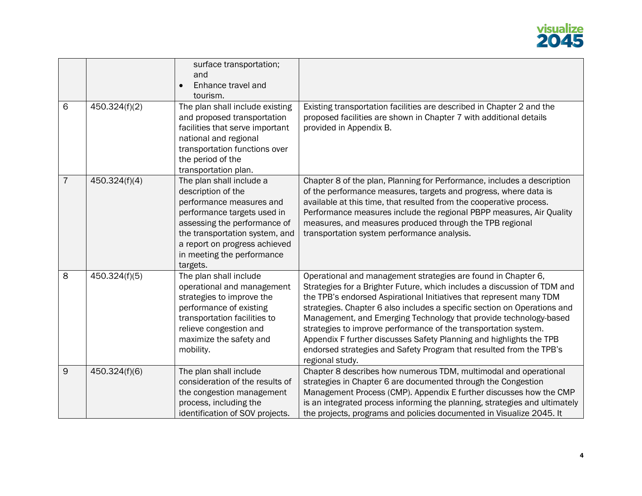

|                |               | surface transportation;<br>and<br>Enhance travel and<br>$\bullet$<br>tourism.                                                                                                                                                                          |                                                                                                                                                                                                                                                                                                                                                                                                                                                                                                                                                                                                       |
|----------------|---------------|--------------------------------------------------------------------------------------------------------------------------------------------------------------------------------------------------------------------------------------------------------|-------------------------------------------------------------------------------------------------------------------------------------------------------------------------------------------------------------------------------------------------------------------------------------------------------------------------------------------------------------------------------------------------------------------------------------------------------------------------------------------------------------------------------------------------------------------------------------------------------|
| 6              | 450.324(f)(2) | The plan shall include existing<br>and proposed transportation<br>facilities that serve important<br>national and regional<br>transportation functions over<br>the period of the<br>transportation plan.                                               | Existing transportation facilities are described in Chapter 2 and the<br>proposed facilities are shown in Chapter 7 with additional details<br>provided in Appendix B.                                                                                                                                                                                                                                                                                                                                                                                                                                |
| $\overline{7}$ | 450.324(f)(4) | The plan shall include a<br>description of the<br>performance measures and<br>performance targets used in<br>assessing the performance of<br>the transportation system, and<br>a report on progress achieved<br>in meeting the performance<br>targets. | Chapter 8 of the plan, Planning for Performance, includes a description<br>of the performance measures, targets and progress, where data is<br>available at this time, that resulted from the cooperative process.<br>Performance measures include the regional PBPP measures, Air Quality<br>measures, and measures produced through the TPB regional<br>transportation system performance analysis.                                                                                                                                                                                                 |
| 8              | 450.324(f)(5) | The plan shall include<br>operational and management<br>strategies to improve the<br>performance of existing<br>transportation facilities to<br>relieve congestion and<br>maximize the safety and<br>mobility.                                         | Operational and management strategies are found in Chapter 6,<br>Strategies for a Brighter Future, which includes a discussion of TDM and<br>the TPB's endorsed Aspirational Initiatives that represent many TDM<br>strategies. Chapter 6 also includes a specific section on Operations and<br>Management, and Emerging Technology that provide technology-based<br>strategies to improve performance of the transportation system.<br>Appendix F further discusses Safety Planning and highlights the TPB<br>endorsed strategies and Safety Program that resulted from the TPB's<br>regional study. |
| 9              | 450.324(f)(6) | The plan shall include<br>consideration of the results of<br>the congestion management<br>process, including the<br>identification of SOV projects.                                                                                                    | Chapter 8 describes how numerous TDM, multimodal and operational<br>strategies in Chapter 6 are documented through the Congestion<br>Management Process (CMP). Appendix E further discusses how the CMP<br>is an integrated process informing the planning, strategies and ultimately<br>the projects, programs and policies documented in Visualize 2045. It                                                                                                                                                                                                                                         |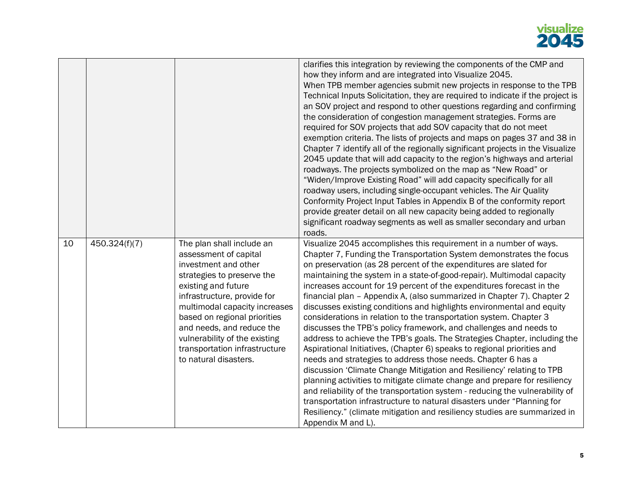## visualize<br>**2045**

|    |               |                                                                                                                                                                                                                                                                                                                                                         | clarifies this integration by reviewing the components of the CMP and<br>how they inform and are integrated into Visualize 2045.<br>When TPB member agencies submit new projects in response to the TPB<br>Technical Inputs Solicitation, they are required to indicate if the project is<br>an SOV project and respond to other questions regarding and confirming<br>the consideration of congestion management strategies. Forms are<br>required for SOV projects that add SOV capacity that do not meet<br>exemption criteria. The lists of projects and maps on pages 37 and 38 in<br>Chapter 7 identify all of the regionally significant projects in the Visualize<br>2045 update that will add capacity to the region's highways and arterial<br>roadways. The projects symbolized on the map as "New Road" or<br>"Widen/Improve Existing Road" will add capacity specifically for all<br>roadway users, including single-occupant vehicles. The Air Quality<br>Conformity Project Input Tables in Appendix B of the conformity report<br>provide greater detail on all new capacity being added to regionally<br>significant roadway segments as well as smaller secondary and urban<br>roads.                                                                                                  |
|----|---------------|---------------------------------------------------------------------------------------------------------------------------------------------------------------------------------------------------------------------------------------------------------------------------------------------------------------------------------------------------------|----------------------------------------------------------------------------------------------------------------------------------------------------------------------------------------------------------------------------------------------------------------------------------------------------------------------------------------------------------------------------------------------------------------------------------------------------------------------------------------------------------------------------------------------------------------------------------------------------------------------------------------------------------------------------------------------------------------------------------------------------------------------------------------------------------------------------------------------------------------------------------------------------------------------------------------------------------------------------------------------------------------------------------------------------------------------------------------------------------------------------------------------------------------------------------------------------------------------------------------------------------------------------------------------------------|
| 10 | 450.324(f)(7) | The plan shall include an<br>assessment of capital<br>investment and other<br>strategies to preserve the<br>existing and future<br>infrastructure, provide for<br>multimodal capacity increases<br>based on regional priorities<br>and needs, and reduce the<br>vulnerability of the existing<br>transportation infrastructure<br>to natural disasters. | Visualize 2045 accomplishes this requirement in a number of ways.<br>Chapter 7, Funding the Transportation System demonstrates the focus<br>on preservation (as 28 percent of the expenditures are slated for<br>maintaining the system in a state-of-good-repair). Multimodal capacity<br>increases account for 19 percent of the expenditures forecast in the<br>financial plan - Appendix A, (also summarized in Chapter 7). Chapter 2<br>discusses existing conditions and highlights environmental and equity<br>considerations in relation to the transportation system. Chapter 3<br>discusses the TPB's policy framework, and challenges and needs to<br>address to achieve the TPB's goals. The Strategies Chapter, including the<br>Aspirational Initiatives, (Chapter 6) speaks to regional priorities and<br>needs and strategies to address those needs. Chapter 6 has a<br>discussion 'Climate Change Mitigation and Resiliency' relating to TPB<br>planning activities to mitigate climate change and prepare for resiliency<br>and reliability of the transportation system - reducing the vulnerability of<br>transportation infrastructure to natural disasters under "Planning for<br>Resiliency." (climate mitigation and resiliency studies are summarized in<br>Appendix M and L). |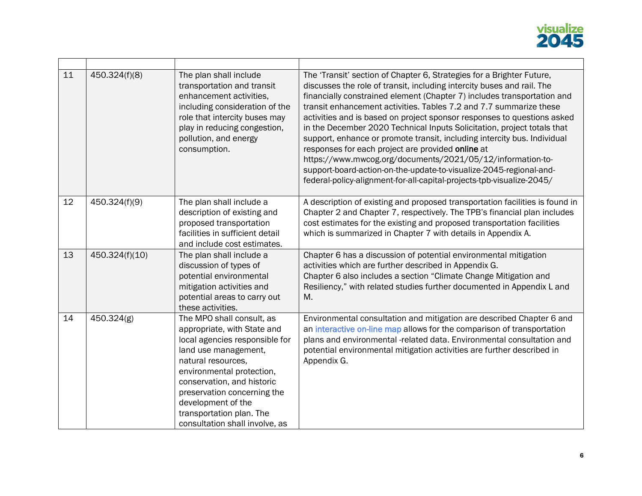

| 11 | 450.324(f)(8)  | The plan shall include<br>transportation and transit<br>enhancement activities,<br>including consideration of the<br>role that intercity buses may<br>play in reducing congestion,<br>pollution, and energy<br>consumption.                                                                                            | The 'Transit' section of Chapter 6, Strategies for a Brighter Future,<br>discusses the role of transit, including intercity buses and rail. The<br>financially constrained element (Chapter 7) includes transportation and<br>transit enhancement activities. Tables 7.2 and 7.7 summarize these<br>activities and is based on project sponsor responses to questions asked<br>in the December 2020 Technical Inputs Solicitation, project totals that<br>support, enhance or promote transit, including intercity bus. Individual<br>responses for each project are provided online at<br>https://www.mwcog.org/documents/2021/05/12/information-to-<br>support-board-action-on-the-update-to-visualize-2045-regional-and-<br>federal-policy-alignment-for-all-capital-projects-tpb-visualize-2045/ |
|----|----------------|------------------------------------------------------------------------------------------------------------------------------------------------------------------------------------------------------------------------------------------------------------------------------------------------------------------------|------------------------------------------------------------------------------------------------------------------------------------------------------------------------------------------------------------------------------------------------------------------------------------------------------------------------------------------------------------------------------------------------------------------------------------------------------------------------------------------------------------------------------------------------------------------------------------------------------------------------------------------------------------------------------------------------------------------------------------------------------------------------------------------------------|
| 12 | 450.324(f)(9)  | The plan shall include a<br>description of existing and<br>proposed transportation<br>facilities in sufficient detail<br>and include cost estimates.                                                                                                                                                                   | A description of existing and proposed transportation facilities is found in<br>Chapter 2 and Chapter 7, respectively. The TPB's financial plan includes<br>cost estimates for the existing and proposed transportation facilities<br>which is summarized in Chapter 7 with details in Appendix A.                                                                                                                                                                                                                                                                                                                                                                                                                                                                                                   |
| 13 | 450.324(f)(10) | The plan shall include a<br>discussion of types of<br>potential environmental<br>mitigation activities and<br>potential areas to carry out<br>these activities.                                                                                                                                                        | Chapter 6 has a discussion of potential environmental mitigation<br>activities which are further described in Appendix G.<br>Chapter 6 also includes a section "Climate Change Mitigation and<br>Resiliency," with related studies further documented in Appendix L and<br>M.                                                                                                                                                                                                                                                                                                                                                                                                                                                                                                                        |
| 14 | 450.324(g)     | The MPO shall consult, as<br>appropriate, with State and<br>local agencies responsible for<br>land use management,<br>natural resources,<br>environmental protection,<br>conservation, and historic<br>preservation concerning the<br>development of the<br>transportation plan. The<br>consultation shall involve, as | Environmental consultation and mitigation are described Chapter 6 and<br>an interactive on-line map allows for the comparison of transportation<br>plans and environmental -related data. Environmental consultation and<br>potential environmental mitigation activities are further described in<br>Appendix G.                                                                                                                                                                                                                                                                                                                                                                                                                                                                                    |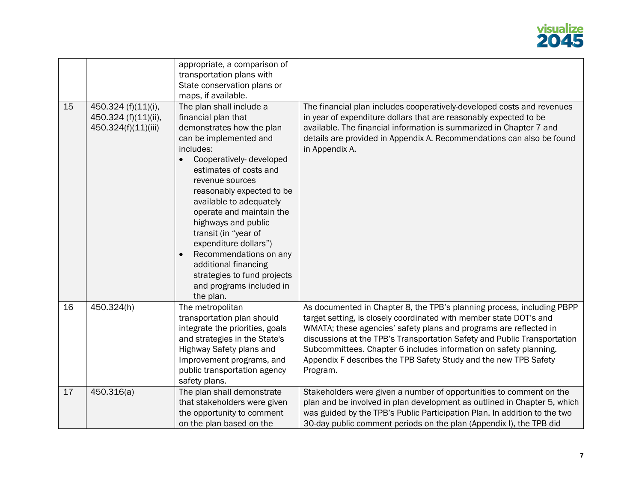

|    |                                                                    | appropriate, a comparison of<br>transportation plans with                                                                                                                                                                                                                                                                                                                                                                                                                                                   |                                                                                                                                                                                                                                                                                                                                                                                                                                                    |
|----|--------------------------------------------------------------------|-------------------------------------------------------------------------------------------------------------------------------------------------------------------------------------------------------------------------------------------------------------------------------------------------------------------------------------------------------------------------------------------------------------------------------------------------------------------------------------------------------------|----------------------------------------------------------------------------------------------------------------------------------------------------------------------------------------------------------------------------------------------------------------------------------------------------------------------------------------------------------------------------------------------------------------------------------------------------|
|    |                                                                    | State conservation plans or<br>maps, if available.                                                                                                                                                                                                                                                                                                                                                                                                                                                          |                                                                                                                                                                                                                                                                                                                                                                                                                                                    |
| 15 | 450.324 (f)(11)(i),<br>450.324 (f)(11)(ii),<br>450.324(f)(11)(iii) | The plan shall include a<br>financial plan that<br>demonstrates how the plan<br>can be implemented and<br>includes:<br>Cooperatively-developed<br>$\bullet$<br>estimates of costs and<br>revenue sources<br>reasonably expected to be<br>available to adequately<br>operate and maintain the<br>highways and public<br>transit (in "year of<br>expenditure dollars")<br>Recommendations on any<br>$\bullet$<br>additional financing<br>strategies to fund projects<br>and programs included in<br>the plan. | The financial plan includes cooperatively-developed costs and revenues<br>in year of expenditure dollars that are reasonably expected to be<br>available. The financial information is summarized in Chapter 7 and<br>details are provided in Appendix A. Recommendations can also be found<br>in Appendix A.                                                                                                                                      |
| 16 | 450.324(h)                                                         | The metropolitan<br>transportation plan should<br>integrate the priorities, goals<br>and strategies in the State's<br>Highway Safety plans and<br>Improvement programs, and<br>public transportation agency<br>safety plans.                                                                                                                                                                                                                                                                                | As documented in Chapter 8, the TPB's planning process, including PBPP<br>target setting, is closely coordinated with member state DOT's and<br>WMATA; these agencies' safety plans and programs are reflected in<br>discussions at the TPB's Transportation Safety and Public Transportation<br>Subcommittees. Chapter 6 includes information on safety planning.<br>Appendix F describes the TPB Safety Study and the new TPB Safety<br>Program. |
| 17 | 450.316(a)                                                         | The plan shall demonstrate<br>that stakeholders were given<br>the opportunity to comment<br>on the plan based on the                                                                                                                                                                                                                                                                                                                                                                                        | Stakeholders were given a number of opportunities to comment on the<br>plan and be involved in plan development as outlined in Chapter 5, which<br>was guided by the TPB's Public Participation Plan. In addition to the two<br>30-day public comment periods on the plan (Appendix I), the TPB did                                                                                                                                                |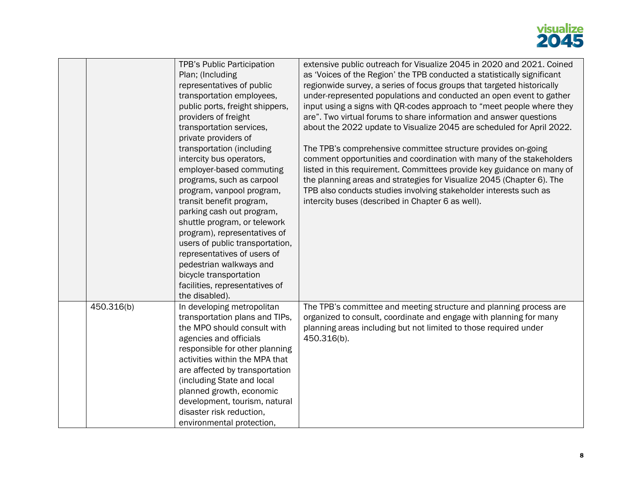## visualize<br>**2045**

|            | TPB's Public Participation<br>Plan; (Including                                                                                                                                                                                                                                                                                                                                                                                | extensive public outreach for Visualize 2045 in 2020 and 2021. Coined<br>as 'Voices of the Region' the TPB conducted a statistically significant                                                                                                                                                                                                                                                                   |
|------------|-------------------------------------------------------------------------------------------------------------------------------------------------------------------------------------------------------------------------------------------------------------------------------------------------------------------------------------------------------------------------------------------------------------------------------|--------------------------------------------------------------------------------------------------------------------------------------------------------------------------------------------------------------------------------------------------------------------------------------------------------------------------------------------------------------------------------------------------------------------|
|            | representatives of public<br>transportation employees,                                                                                                                                                                                                                                                                                                                                                                        | regionwide survey, a series of focus groups that targeted historically<br>under-represented populations and conducted an open event to gather                                                                                                                                                                                                                                                                      |
|            | public ports, freight shippers,<br>providers of freight<br>transportation services,<br>private providers of                                                                                                                                                                                                                                                                                                                   | input using a signs with QR-codes approach to "meet people where they<br>are". Two virtual forums to share information and answer questions<br>about the 2022 update to Visualize 2045 are scheduled for April 2022.                                                                                                                                                                                               |
|            | transportation (including<br>intercity bus operators,<br>employer-based commuting<br>programs, such as carpool<br>program, vanpool program,<br>transit benefit program,<br>parking cash out program,<br>shuttle program, or telework<br>program), representatives of<br>users of public transportation,<br>representatives of users of<br>pedestrian walkways and<br>bicycle transportation<br>facilities, representatives of | The TPB's comprehensive committee structure provides on-going<br>comment opportunities and coordination with many of the stakeholders<br>listed in this requirement. Committees provide key guidance on many of<br>the planning areas and strategies for Visualize 2045 (Chapter 6). The<br>TPB also conducts studies involving stakeholder interests such as<br>intercity buses (described in Chapter 6 as well). |
|            | the disabled).                                                                                                                                                                                                                                                                                                                                                                                                                |                                                                                                                                                                                                                                                                                                                                                                                                                    |
| 450.316(b) | In developing metropolitan<br>transportation plans and TIPs,<br>the MPO should consult with<br>agencies and officials<br>responsible for other planning<br>activities within the MPA that<br>are affected by transportation<br>(including State and local<br>planned growth, economic<br>development, tourism, natural<br>disaster risk reduction,<br>environmental protection,                                               | The TPB's committee and meeting structure and planning process are<br>organized to consult, coordinate and engage with planning for many<br>planning areas including but not limited to those required under<br>450.316(b).                                                                                                                                                                                        |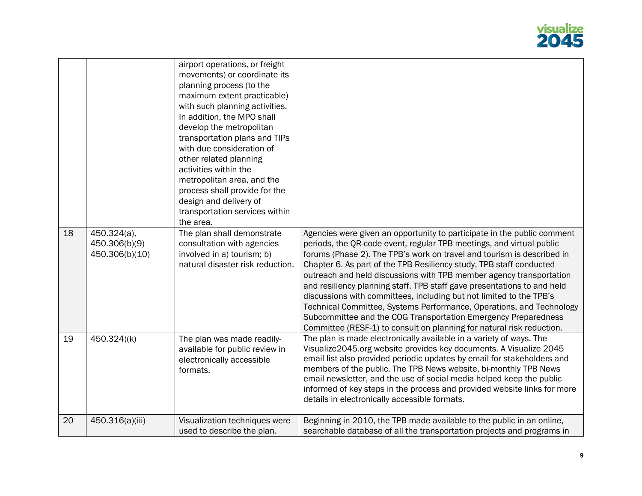

|    |                                                | airport operations, or freight<br>movements) or coordinate its<br>planning process (to the<br>maximum extent practicable)<br>with such planning activities.<br>In addition, the MPO shall<br>develop the metropolitan<br>transportation plans and TIPs<br>with due consideration of<br>other related planning<br>activities within the<br>metropolitan area, and the<br>process shall provide for the<br>design and delivery of<br>transportation services within<br>the area. |                                                                                                                                                                                                                                                                                                                                                                                                                                                                                                                                                                                                                                                                                                                                              |
|----|------------------------------------------------|--------------------------------------------------------------------------------------------------------------------------------------------------------------------------------------------------------------------------------------------------------------------------------------------------------------------------------------------------------------------------------------------------------------------------------------------------------------------------------|----------------------------------------------------------------------------------------------------------------------------------------------------------------------------------------------------------------------------------------------------------------------------------------------------------------------------------------------------------------------------------------------------------------------------------------------------------------------------------------------------------------------------------------------------------------------------------------------------------------------------------------------------------------------------------------------------------------------------------------------|
| 18 | 450.324(a),<br>450.306(b)(9)<br>450.306(b)(10) | The plan shall demonstrate<br>consultation with agencies<br>involved in a) tourism; b)<br>natural disaster risk reduction.                                                                                                                                                                                                                                                                                                                                                     | Agencies were given an opportunity to participate in the public comment<br>periods, the QR-code event, regular TPB meetings, and virtual public<br>forums (Phase 2). The TPB's work on travel and tourism is described in<br>Chapter 6. As part of the TPB Resiliency study, TPB staff conducted<br>outreach and held discussions with TPB member agency transportation<br>and resiliency planning staff. TPB staff gave presentations to and held<br>discussions with committees, including but not limited to the TPB's<br>Technical Committee, Systems Performance, Operations, and Technology<br>Subcommittee and the COG Transportation Emergency Preparedness<br>Committee (RESF-1) to consult on planning for natural risk reduction. |
| 19 | 450.324)(k)                                    | The plan was made readily-<br>available for public review in<br>electronically accessible<br>formats.                                                                                                                                                                                                                                                                                                                                                                          | The plan is made electronically available in a variety of ways. The<br>Visualize2045.org website provides key documents. A Visualize 2045<br>email list also provided periodic updates by email for stakeholders and<br>members of the public. The TPB News website, bi-monthly TPB News<br>email newsletter, and the use of social media helped keep the public<br>informed of key steps in the process and provided website links for more<br>details in electronically accessible formats.                                                                                                                                                                                                                                                |
| 20 | 450.316(a)(iii)                                | Visualization techniques were<br>used to describe the plan.                                                                                                                                                                                                                                                                                                                                                                                                                    | Beginning in 2010, the TPB made available to the public in an online,<br>searchable database of all the transportation projects and programs in                                                                                                                                                                                                                                                                                                                                                                                                                                                                                                                                                                                              |